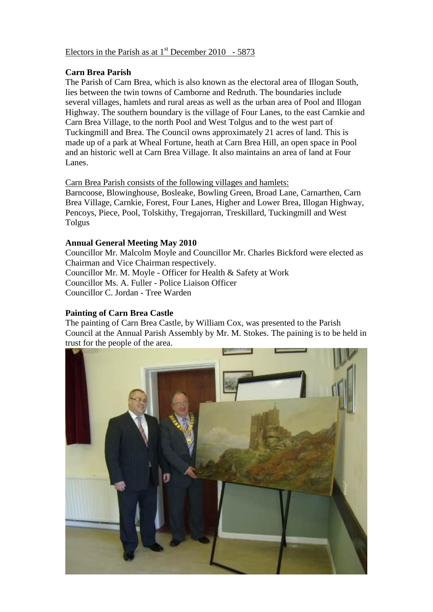#### Electors in the Parish as at  $1<sup>st</sup>$  December 2010 - 5873

#### **Carn Brea Parish**

The Parish of Carn Brea, which is also known as the electoral area of Illogan South, lies between the twin towns of Camborne and Redruth. The boundaries include several villages, hamlets and rural areas as well as the urban area of Pool and Illogan Highway. The southern boundary is the village of Four Lanes, to the east Carnkie and Carn Brea Village, to the north Pool and West Tolgus and to the west part of Tuckingmill and Brea. The Council owns approximately 21 acres of land. This is made up of a park at Wheal Fortune, heath at Carn Brea Hill, an open space in Pool and an historic well at Carn Brea Village. It also maintains an area of land at Four Lanes.

#### Carn Brea Parish consists of the following villages and hamlets:

Barncoose, Blowinghouse, Bosleake, Bowling Green, Broad Lane, Carnarthen, Carn Brea Village, Carnkie, Forest, Four Lanes, Higher and Lower Brea, Illogan Highway, Pencoys, Piece, Pool, Tolskithy, Tregajorran, Treskillard, Tuckingmill and West Tolgus

#### **Annual General Meeting May 2010**

Councillor Mr. Malcolm Moyle and Councillor Mr. Charles Bickford were elected as Chairman and Vice Chairman respectively. Councillor Mr. M. Moyle - Officer for Health & Safety at Work Councillor Ms. A. Fuller - Police Liaison Officer Councillor C. Jordan - Tree Warden

#### **Painting of Carn Brea Castle**

The painting of Carn Brea Castle, by William Cox, was presented to the Parish Council at the Annual Parish Assembly by Mr. M. Stokes. The paining is to be held in trust for the people of the area.

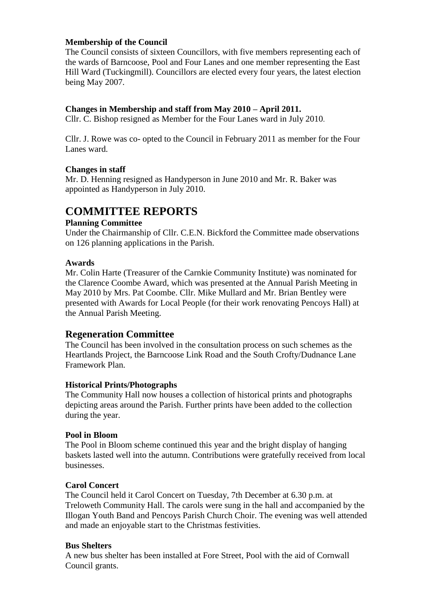#### **Membership of the Council**

The Council consists of sixteen Councillors, with five members representing each of the wards of Barncoose, Pool and Four Lanes and one member representing the East Hill Ward (Tuckingmill). Councillors are elected every four years, the latest election being May 2007.

#### **Changes in Membership and staff from May 2010 – April 2011.**

Cllr. C. Bishop resigned as Member for the Four Lanes ward in July 2010.

Cllr. J. Rowe was co- opted to the Council in February 2011 as member for the Four Lanes ward.

#### **Changes in staff**

Mr. D. Henning resigned as Handyperson in June 2010 and Mr. R. Baker was appointed as Handyperson in July 2010.

### **COMMITTEE REPORTS**

#### **Planning Committee**

Under the Chairmanship of Cllr. C.E.N. Bickford the Committee made observations on 126 planning applications in the Parish.

#### **Awards**

Mr. Colin Harte (Treasurer of the Carnkie Community Institute) was nominated for the Clarence Coombe Award, which was presented at the Annual Parish Meeting in May 2010 by Mrs. Pat Coombe. Cllr. Mike Mullard and Mr. Brian Bentley were presented with Awards for Local People (for their work renovating Pencoys Hall) at the Annual Parish Meeting.

#### **Regeneration Committee**

The Council has been involved in the consultation process on such schemes as the Heartlands Project, the Barncoose Link Road and the South Crofty/Dudnance Lane Framework Plan.

#### **Historical Prints/Photographs**

The Community Hall now houses a collection of historical prints and photographs depicting areas around the Parish. Further prints have been added to the collection during the year.

#### **Pool in Bloom**

The Pool in Bloom scheme continued this year and the bright display of hanging baskets lasted well into the autumn. Contributions were gratefully received from local businesses.

#### **Carol Concert**

The Council held it Carol Concert on Tuesday, 7th December at 6.30 p.m. at Treloweth Community Hall. The carols were sung in the hall and accompanied by the Illogan Youth Band and Pencoys Parish Church Choir. The evening was well attended and made an enjoyable start to the Christmas festivities.

#### **Bus Shelters**

A new bus shelter has been installed at Fore Street, Pool with the aid of Cornwall Council grants.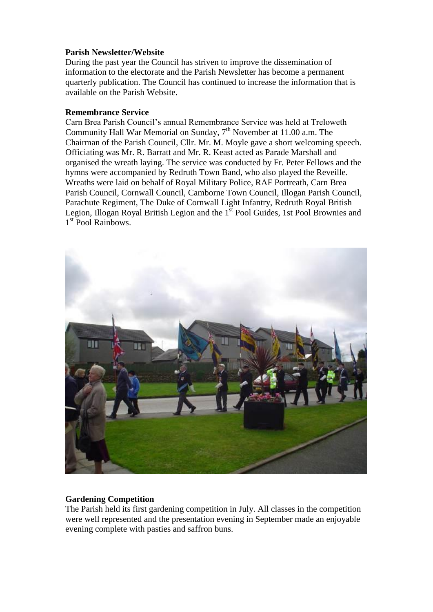#### **Parish Newsletter/Website**

During the past year the Council has striven to improve the dissemination of information to the electorate and the Parish Newsletter has become a permanent quarterly publication. The Council has continued to increase the information that is available on the Parish Website.

#### **Remembrance Service**

Carn Brea Parish Council's annual Remembrance Service was held at Treloweth Community Hall War Memorial on Sunday,  $7<sup>th</sup>$  November at 11.00 a.m. The Chairman of the Parish Council, Cllr. Mr. M. Moyle gave a short welcoming speech. Officiating was Mr. R. Barratt and Mr. R. Keast acted as Parade Marshall and organised the wreath laying. The service was conducted by Fr. Peter Fellows and the hymns were accompanied by Redruth Town Band, who also played the Reveille. Wreaths were laid on behalf of Royal Military Police, RAF Portreath, Carn Brea Parish Council, Cornwall Council, Camborne Town Council, Illogan Parish Council, Parachute Regiment, The Duke of Cornwall Light Infantry, Redruth Royal British Legion, Illogan Royal British Legion and the  $1<sup>st</sup>$  Pool Guides, 1st Pool Brownies and 1<sup>st</sup> Pool Rainbows.



#### **Gardening Competition**

The Parish held its first gardening competition in July. All classes in the competition were well represented and the presentation evening in September made an enjoyable evening complete with pasties and saffron buns.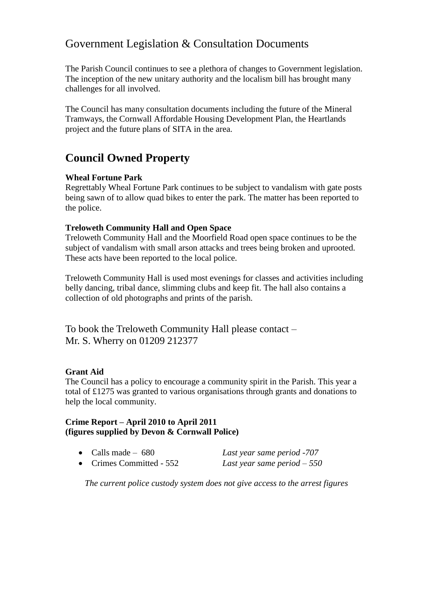## Government Legislation & Consultation Documents

The Parish Council continues to see a plethora of changes to Government legislation. The inception of the new unitary authority and the localism bill has brought many challenges for all involved.

The Council has many consultation documents including the future of the Mineral Tramways, the Cornwall Affordable Housing Development Plan, the Heartlands project and the future plans of SITA in the area.

# **Council Owned Property**

#### **Wheal Fortune Park**

Regrettably Wheal Fortune Park continues to be subject to vandalism with gate posts being sawn of to allow quad bikes to enter the park. The matter has been reported to the police.

#### **Treloweth Community Hall and Open Space**

Treloweth Community Hall and the Moorfield Road open space continues to be the subject of vandalism with small arson attacks and trees being broken and uprooted. These acts have been reported to the local police.

Treloweth Community Hall is used most evenings for classes and activities including belly dancing, tribal dance, slimming clubs and keep fit. The hall also contains a collection of old photographs and prints of the parish.

To book the Treloweth Community Hall please contact – Mr. S. Wherry on 01209 212377

#### **Grant Aid**

The Council has a policy to encourage a community spirit in the Parish. This year a total of £1275 was granted to various organisations through grants and donations to help the local community.

#### **Crime Report – April 2010 to April 2011 (figures supplied by Devon & Cornwall Police)**

- Calls made 680 *Last year same period -707*
- Crimes Committed 552 *Last year same period – 550*

*The current police custody system does not give access to the arrest figures*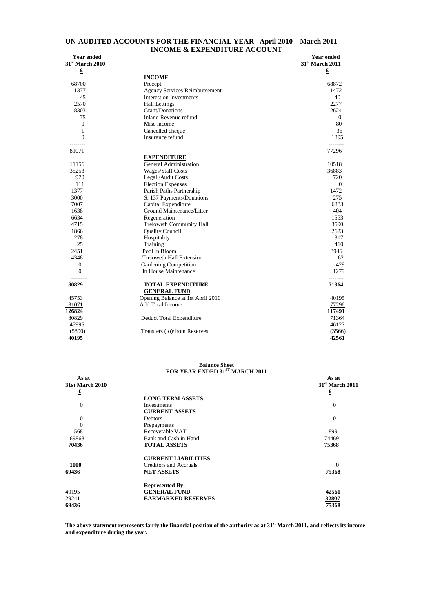#### **UN-AUDITED ACCOUNTS FOR THE FINANCIAL YEAR April 2010 – March 2011 INCOME & EXPENDITURE ACCOUNT**

| <b>Year ended</b><br>31 <sup>st</sup> March 2010 |                                      | <b>Year ended</b><br>31st March 2011 |
|--------------------------------------------------|--------------------------------------|--------------------------------------|
| $\mathbf f$                                      |                                      | $\pmb{\pmb{\pm}}$                    |
|                                                  | <b>INCOME</b>                        |                                      |
| 68700                                            | Precept                              | 68872                                |
| 1377                                             | <b>Agency Services Reimbursement</b> | 1472                                 |
| 45                                               | Interest on Investments              | 40                                   |
| 2570                                             | <b>Hall Lettings</b>                 | 2277                                 |
| 8303                                             | Grant/Donations                      | 2624                                 |
| 75                                               | Inland Revenue refund                | $\theta$                             |
| $\Omega$                                         | Misc income                          | 80                                   |
| 1                                                | Cancelled cheque                     | 36                                   |
| $\overline{0}$                                   | Insurance refund                     | 1895                                 |
| --------                                         |                                      | --------                             |
| 81071                                            |                                      | 77296                                |
|                                                  | <b>EXPENDITURE</b>                   |                                      |
| 11156                                            | <b>General Administration</b>        | 10518                                |
| 35253                                            | <b>Wages/Staff Costs</b>             | 36883                                |
| 970                                              | Legal /Audit Costs                   | 720                                  |
| 111                                              | <b>Election Expenses</b>             | $\Omega$                             |
| 1377                                             | Parish Paths Partnership             | 1472                                 |
| 3000                                             | S. 137 Payments/Donations            | 275                                  |
| 7007                                             | Capital Expenditure                  | 6883                                 |
| 1638                                             | Ground Maintenance/Litter            | 404                                  |
| 6634                                             | Regeneration                         | 1553                                 |
| 4715                                             | Treloweth Community Hall             | 3590                                 |
| 1866                                             | <b>Quality Council</b>               | 2623                                 |
| 278                                              | Hospitality                          | 317                                  |
| 25                                               | Training                             | 410                                  |
| 2451                                             | Pool in Bloom                        | 3946                                 |
| 4348                                             | <b>Treloweth Hall Extension</b>      | 62                                   |
| $\mathbf{0}$                                     | Gardening Competition                | 429                                  |
| $\overline{0}$                                   | In House Maintenance                 | 1279                                 |
|                                                  |                                      | ---- ---                             |
| 80829                                            | <b>TOTAL EXPENDITURE</b>             | 71364                                |
|                                                  | <b>GENERAL FUND</b>                  |                                      |
| 45753                                            | Opening Balance at 1st April 2010    | 40195                                |
| 81071                                            | <b>Add Total Income</b>              | 77296                                |
| 126824                                           |                                      | 117491                               |
| 80829                                            | Deduct Total Expenditure             | 71364                                |
| 45995                                            |                                      | 46127                                |
| (5800)                                           | Transfers (to)/from Reserves         | (3566)                               |
| 40195                                            |                                      | 42561                                |

#### **Balance Sheet FOR YEAR ENDED 31ST MARCH 2011**

| As at                  |                               | As at                       |
|------------------------|-------------------------------|-----------------------------|
| <b>31st March 2010</b> |                               | 31 <sup>st</sup> March 2011 |
| £                      |                               | £                           |
|                        | <b>LONG TERM ASSETS</b>       |                             |
| $\mathbf{0}$           | Investments                   | $\Omega$                    |
|                        | <b>CURRENT ASSETS</b>         |                             |
| $\overline{0}$         | <b>Debtors</b>                | $\Omega$                    |
| $\theta$               | Prepayments                   |                             |
| 568                    | Recoverable VAT               | 899                         |
| 69868                  | Bank and Cash in Hand         | 74469                       |
| 70436                  | <b>TOTAL ASSETS</b>           | 75368                       |
|                        | <b>CURRENT LIABILITIES</b>    |                             |
| <b>1000</b>            | <b>Creditors and Accruals</b> | 0                           |
| 69436                  | <b>NET ASSETS</b>             | 75368                       |
|                        | <b>Represented By:</b>        |                             |
| 40195                  | <b>GENERAL FUND</b>           | 42561                       |
| 29241                  | <b>EARMARKED RESERVES</b>     | 32807                       |
| 69436                  |                               | 75368                       |

**The above statement represents fairly the financial position of the authority as at 31st March 2011, and reflects its income and expenditure during the year.**